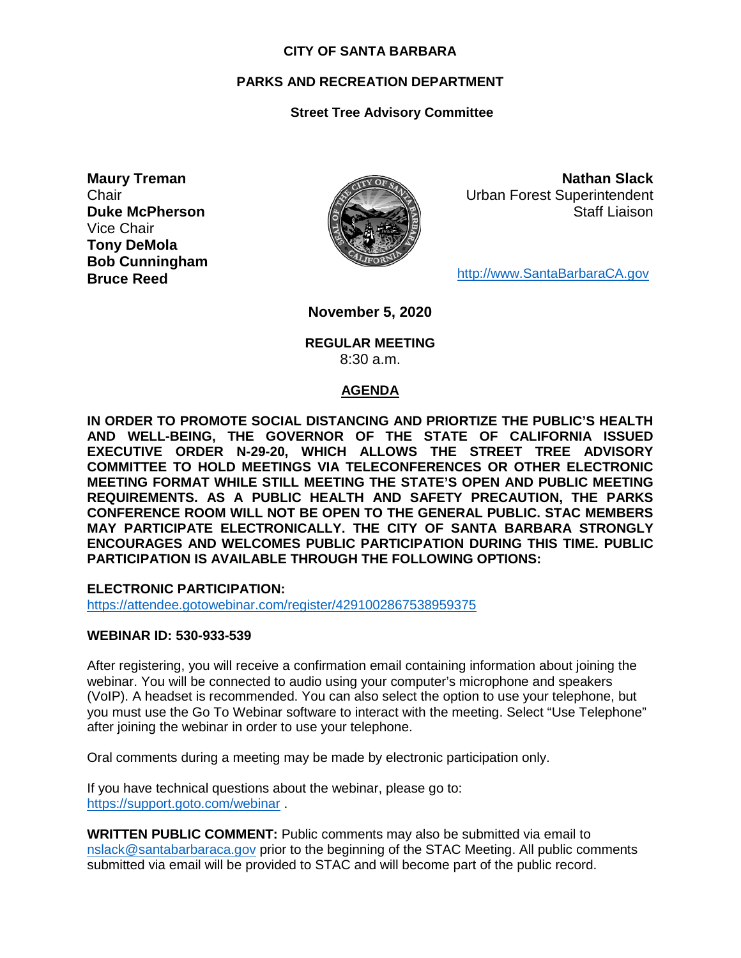#### **CITY OF SANTA BARBARA**

#### **PARKS AND RECREATION DEPARTMENT**

#### **Street Tree Advisory Committee**

**Maury Treman Chair Duke McPherson** Vice Chair **Tony DeMola Bob Cunningham Bruce Reed**



**Nathan Slack** Urban Forest Superintendent Staff Liaison

[http://www.SantaBarbaraCA.gov](http://www.santabarbaraca.gov/)

**November 5, 2020**

#### **REGULAR MEETING** 8:30 a.m.

#### **AGENDA**

**IN ORDER TO PROMOTE SOCIAL DISTANCING AND PRIORTIZE THE PUBLIC'S HEALTH AND WELL-BEING, THE GOVERNOR OF THE STATE OF CALIFORNIA ISSUED EXECUTIVE ORDER N-29-20, WHICH ALLOWS THE STREET TREE ADVISORY COMMITTEE TO HOLD MEETINGS VIA TELECONFERENCES OR OTHER ELECTRONIC MEETING FORMAT WHILE STILL MEETING THE STATE'S OPEN AND PUBLIC MEETING REQUIREMENTS. AS A PUBLIC HEALTH AND SAFETY PRECAUTION, THE PARKS CONFERENCE ROOM WILL NOT BE OPEN TO THE GENERAL PUBLIC. STAC MEMBERS MAY PARTICIPATE ELECTRONICALLY. THE CITY OF SANTA BARBARA STRONGLY ENCOURAGES AND WELCOMES PUBLIC PARTICIPATION DURING THIS TIME. PUBLIC PARTICIPATION IS AVAILABLE THROUGH THE FOLLOWING OPTIONS:**

**ELECTRONIC PARTICIPATION:** 

<https://attendee.gotowebinar.com/register/4291002867538959375>

#### **WEBINAR ID: 530-933-539**

After registering, you will receive a confirmation email containing information about joining the webinar. You will be connected to audio using your computer's microphone and speakers (VoIP). A headset is recommended. You can also select the option to use your telephone, but you must use the Go To Webinar software to interact with the meeting. Select "Use Telephone" after joining the webinar in order to use your telephone.

Oral comments during a meeting may be made by electronic participation only.

If you have technical questions about the webinar, please go to: <https://support.goto.com/webinar> .

**WRITTEN PUBLIC COMMENT:** Public comments may also be submitted via email to [nslack@santabarbaraca.gov](mailto:nslack@santabarbaraca.gov) prior to the beginning of the STAC Meeting. All public comments submitted via email will be provided to STAC and will become part of the public record.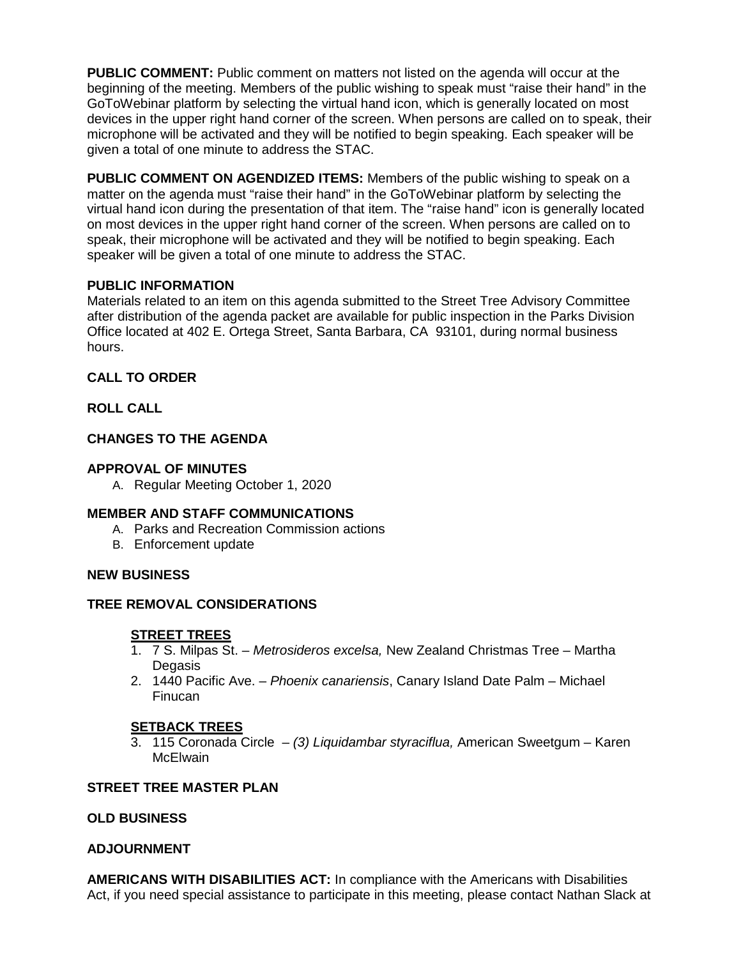**PUBLIC COMMENT:** Public comment on matters not listed on the agenda will occur at the beginning of the meeting. Members of the public wishing to speak must "raise their hand" in the GoToWebinar platform by selecting the virtual hand icon, which is generally located on most devices in the upper right hand corner of the screen. When persons are called on to speak, their microphone will be activated and they will be notified to begin speaking. Each speaker will be given a total of one minute to address the STAC.

**PUBLIC COMMENT ON AGENDIZED ITEMS:** Members of the public wishing to speak on a matter on the agenda must "raise their hand" in the GoToWebinar platform by selecting the virtual hand icon during the presentation of that item. The "raise hand" icon is generally located on most devices in the upper right hand corner of the screen. When persons are called on to speak, their microphone will be activated and they will be notified to begin speaking. Each speaker will be given a total of one minute to address the STAC.

### **PUBLIC INFORMATION**

Materials related to an item on this agenda submitted to the Street Tree Advisory Committee after distribution of the agenda packet are available for public inspection in the Parks Division Office located at 402 E. Ortega Street, Santa Barbara, CA 93101, during normal business hours.

## **CALL TO ORDER**

## **ROLL CALL**

## **CHANGES TO THE AGENDA**

## **APPROVAL OF MINUTES**

A. Regular Meeting October 1, 2020

### **MEMBER AND STAFF COMMUNICATIONS**

- A. Parks and Recreation Commission actions
- B. Enforcement update

### **NEW BUSINESS**

# **TREE REMOVAL CONSIDERATIONS**

### **STREET TREES**

- 1. 7 S. Milpas St. *Metrosideros excelsa,* New Zealand Christmas Tree Martha Degasis
- 2. 1440 Pacific Ave. *Phoenix canariensis*, Canary Island Date Palm Michael Finucan

### **SETBACK TREES**

3. 115 Coronada Circle – *(3) Liquidambar styraciflua,* American Sweetgum – Karen **McElwain** 

## **STREET TREE MASTER PLAN**

### **OLD BUSINESS**

### **ADJOURNMENT**

**AMERICANS WITH DISABILITIES ACT:** In compliance with the Americans with Disabilities Act, if you need special assistance to participate in this meeting, please contact Nathan Slack at